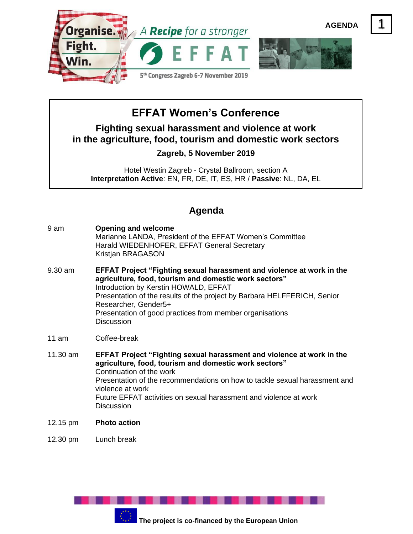

## **EFFAT Women's Conference**

**Fighting sexual harassment and violence at work in the agriculture, food, tourism and domestic work sectors**

## **Zagreb, 5 November 2019**

Hotel Westin Zagreb - Crystal Ballroom, section A **Interpretation Active**: EN, FR, DE, IT, ES, HR / **Passive**: NL, DA, EL

## **Agenda**

- 9 am **Opening and welcome** Marianne LANDA, President of the EFFAT Women's Committee Harald WIEDENHOFER, EFFAT General Secretary Kristjan BRAGASON
- 9.30 am **EFFAT Project "Fighting sexual harassment and violence at work in the agriculture, food, tourism and domestic work sectors"** Introduction by Kerstin HOWALD, EFFAT Presentation of the results of the project by Barbara HELFFERICH, Senior Researcher, Gender5+ Presentation of good practices from member organisations **Discussion**
- 11 am Coffee-break
- 11.30 am **EFFAT Project "Fighting sexual harassment and violence at work in the agriculture, food, tourism and domestic work sectors"** Continuation of the work Presentation of the recommendations on how to tackle sexual harassment and violence at work Future EFFAT activities on sexual harassment and violence at work **Discussion**
- 12.15 pm **Photo action**
- 12.30 pm Lunch break